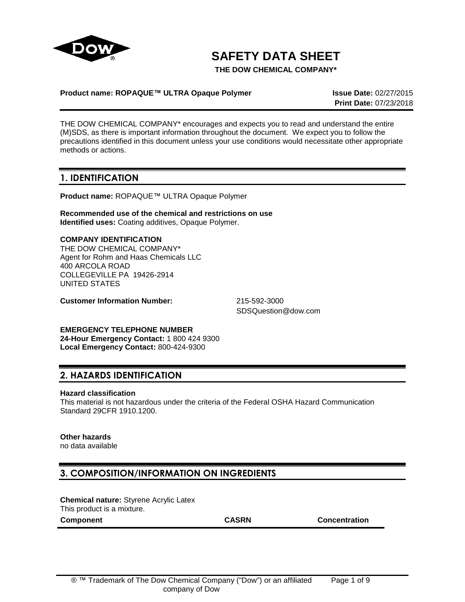

# **SAFETY DATA SHEET**

**THE DOW CHEMICAL COMPANY\***

#### **Product name: ROPAQUE™ ULTRA Opaque Polymer Issue Date:** 02/27/2015

**Print Date:** 07/23/2018

THE DOW CHEMICAL COMPANY\* encourages and expects you to read and understand the entire (M)SDS, as there is important information throughout the document. We expect you to follow the precautions identified in this document unless your use conditions would necessitate other appropriate methods or actions.

### **1. IDENTIFICATION**

**Product name:** ROPAQUE™ ULTRA Opaque Polymer

**Recommended use of the chemical and restrictions on use Identified uses:** Coating additives, Opaque Polymer.

**COMPANY IDENTIFICATION** THE DOW CHEMICAL COMPANY\* Agent for Rohm and Haas Chemicals LLC 400 ARCOLA ROAD COLLEGEVILLE PA 19426-2914 UNITED STATES

**Customer Information Number:** 215-592-3000

SDSQuestion@dow.com

**EMERGENCY TELEPHONE NUMBER 24-Hour Emergency Contact:** 1 800 424 9300 **Local Emergency Contact:** 800-424-9300

### **2. HAZARDS IDENTIFICATION**

#### **Hazard classification**

This material is not hazardous under the criteria of the Federal OSHA Hazard Communication Standard 29CFR 1910.1200.

#### **Other hazards**

no data available

### **3. COMPOSITION/INFORMATION ON INGREDIENTS**

**Chemical nature:** Styrene Acrylic Latex This product is a mixture.

**Component CASRN Concentration**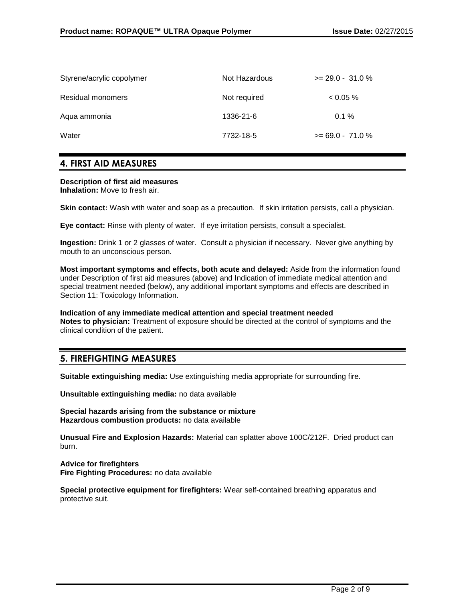| Styrene/acrylic copolymer | Not Hazardous | $>= 29.0 - 31.0 %$ |
|---------------------------|---------------|--------------------|
| <b>Residual monomers</b>  | Not required  | $0.05\%$           |
| Aqua ammonia              | 1336-21-6     | $0.1 \%$           |
| Water                     | 7732-18-5     | $>= 69.0 - 71.0 %$ |

### **4. FIRST AID MEASURES**

#### **Description of first aid measures Inhalation:** Move to fresh air.

**Skin contact:** Wash with water and soap as a precaution. If skin irritation persists, call a physician.

**Eye contact:** Rinse with plenty of water. If eye irritation persists, consult a specialist.

**Ingestion:** Drink 1 or 2 glasses of water. Consult a physician if necessary. Never give anything by mouth to an unconscious person.

**Most important symptoms and effects, both acute and delayed:** Aside from the information found under Description of first aid measures (above) and Indication of immediate medical attention and special treatment needed (below), any additional important symptoms and effects are described in Section 11: Toxicology Information.

#### **Indication of any immediate medical attention and special treatment needed**

**Notes to physician:** Treatment of exposure should be directed at the control of symptoms and the clinical condition of the patient.

### **5. FIREFIGHTING MEASURES**

**Suitable extinguishing media:** Use extinguishing media appropriate for surrounding fire.

**Unsuitable extinguishing media:** no data available

**Special hazards arising from the substance or mixture Hazardous combustion products:** no data available

**Unusual Fire and Explosion Hazards:** Material can splatter above 100C/212F. Dried product can burn.

**Advice for firefighters Fire Fighting Procedures:** no data available

**Special protective equipment for firefighters:** Wear self-contained breathing apparatus and protective suit.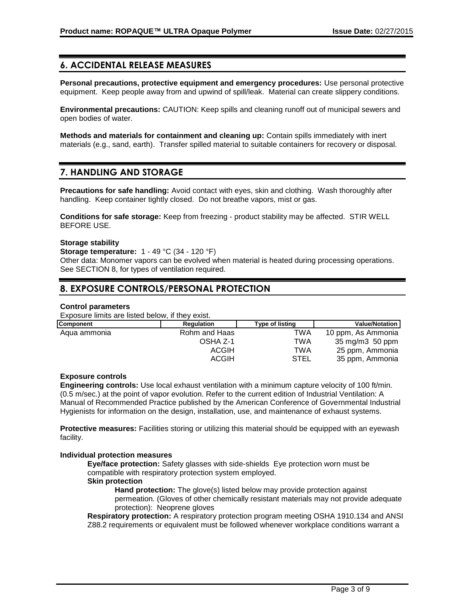# **6. ACCIDENTAL RELEASE MEASURES**

**Personal precautions, protective equipment and emergency procedures:** Use personal protective equipment. Keep people away from and upwind of spill/leak. Material can create slippery conditions.

**Environmental precautions:** CAUTION: Keep spills and cleaning runoff out of municipal sewers and open bodies of water.

**Methods and materials for containment and cleaning up:** Contain spills immediately with inert materials (e.g., sand, earth). Transfer spilled material to suitable containers for recovery or disposal.

# **7. HANDLING AND STORAGE**

**Precautions for safe handling:** Avoid contact with eyes, skin and clothing. Wash thoroughly after handling. Keep container tightly closed. Do not breathe vapors, mist or gas.

**Conditions for safe storage:** Keep from freezing - product stability may be affected. STIR WELL BEFORE USE.

#### **Storage stability**

**Storage temperature:** 1 - 49 °C (34 - 120 °F)

Other data: Monomer vapors can be evolved when material is heated during processing operations. See SECTION 8, for types of ventilation required.

# **8. EXPOSURE CONTROLS/PERSONAL PROTECTION**

#### **Control parameters**

Exposure limits are listed below, if they exist.

| <b>Component</b> | <b>Regulation</b> | Type of listing | <b>Value/Notation</b> |
|------------------|-------------------|-----------------|-----------------------|
| Agua ammonia     | Rohm and Haas     | TWA             | 10 ppm, As Ammonia    |
|                  | OSHA Z-1          | TWA             | 35 mg/m3 50 ppm       |
|                  | <b>ACGIH</b>      | TWA             | 25 ppm, Ammonia       |
|                  | <b>ACGIH</b>      | STEL            | 35 ppm, Ammonia       |

#### **Exposure controls**

**Engineering controls:** Use local exhaust ventilation with a minimum capture velocity of 100 ft/min. (0.5 m/sec.) at the point of vapor evolution. Refer to the current edition of Industrial Ventilation: A Manual of Recommended Practice published by the American Conference of Governmental Industrial Hygienists for information on the design, installation, use, and maintenance of exhaust systems.

**Protective measures:** Facilities storing or utilizing this material should be equipped with an eyewash facility.

#### **Individual protection measures**

**Eye/face protection:** Safety glasses with side-shields Eye protection worn must be compatible with respiratory protection system employed.

#### **Skin protection**

**Hand protection:** The glove(s) listed below may provide protection against permeation. (Gloves of other chemically resistant materials may not provide adequate protection): Neoprene gloves

**Respiratory protection:** A respiratory protection program meeting OSHA 1910.134 and ANSI Z88.2 requirements or equivalent must be followed whenever workplace conditions warrant a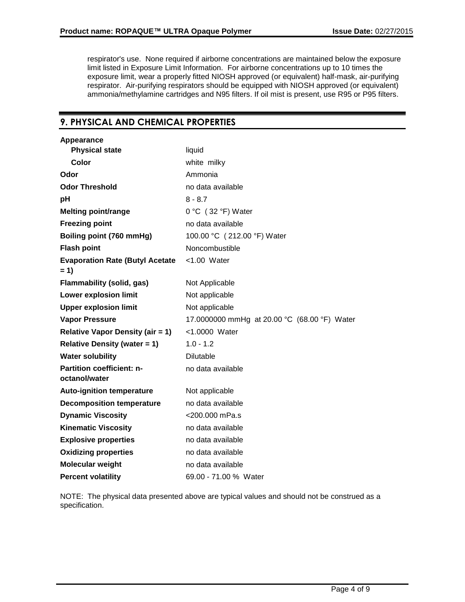respirator's use. None required if airborne concentrations are maintained below the exposure limit listed in Exposure Limit Information. For airborne concentrations up to 10 times the exposure limit, wear a properly fitted NIOSH approved (or equivalent) half-mask, air-purifying respirator. Air-purifying respirators should be equipped with NIOSH approved (or equivalent) ammonia/methylamine cartridges and N95 filters. If oil mist is present, use R95 or P95 filters.

# **9. PHYSICAL AND CHEMICAL PROPERTIES**

| Appearance                                      |                                              |
|-------------------------------------------------|----------------------------------------------|
| <b>Physical state</b>                           | liquid                                       |
| <b>Color</b>                                    | white milky                                  |
| Odor                                            | Ammonia                                      |
| <b>Odor Threshold</b>                           | no data available                            |
| pH                                              | $8 - 8.7$                                    |
| <b>Melting point/range</b>                      | $0 °C$ (32 °F) Water                         |
| <b>Freezing point</b>                           | no data available                            |
| Boiling point (760 mmHg)                        | 100.00 °C (212.00 °F) Water                  |
| <b>Flash point</b>                              | Noncombustible                               |
| <b>Evaporation Rate (Butyl Acetate</b><br>$= 1$ | $<$ 1.00 Water                               |
| <b>Flammability (solid, gas)</b>                | Not Applicable                               |
| <b>Lower explosion limit</b>                    | Not applicable                               |
| <b>Upper explosion limit</b>                    | Not applicable                               |
| <b>Vapor Pressure</b>                           | 17.0000000 mmHg at 20.00 °C (68.00 °F) Water |
| <b>Relative Vapor Density (air = 1)</b>         | <1.0000 Water                                |
| <b>Relative Density (water = 1)</b>             | $1.0 - 1.2$                                  |
| <b>Water solubility</b>                         | <b>Dilutable</b>                             |
| Partition coefficient: n-<br>octanol/water      | no data available                            |
| <b>Auto-ignition temperature</b>                | Not applicable                               |
| <b>Decomposition temperature</b>                | no data available                            |
| <b>Dynamic Viscosity</b>                        | <200.000 mPa.s                               |
| <b>Kinematic Viscosity</b>                      | no data available                            |
| <b>Explosive properties</b>                     | no data available                            |
| <b>Oxidizing properties</b>                     | no data available                            |
| <b>Molecular weight</b>                         | no data available                            |
| <b>Percent volatility</b>                       | 69.00 - 71.00 % Water                        |

NOTE: The physical data presented above are typical values and should not be construed as a specification.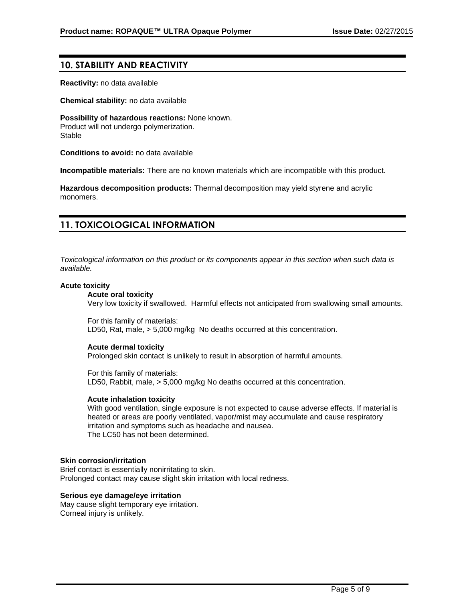### **10. STABILITY AND REACTIVITY**

**Reactivity:** no data available

**Chemical stability:** no data available

**Possibility of hazardous reactions:** None known. Product will not undergo polymerization. Stable

**Conditions to avoid:** no data available

**Incompatible materials:** There are no known materials which are incompatible with this product.

**Hazardous decomposition products:** Thermal decomposition may yield styrene and acrylic monomers.

### **11. TOXICOLOGICAL INFORMATION**

*Toxicological information on this product or its components appear in this section when such data is available.*

#### **Acute toxicity**

#### **Acute oral toxicity**

Very low toxicity if swallowed. Harmful effects not anticipated from swallowing small amounts.

For this family of materials: LD50, Rat, male, > 5,000 mg/kg No deaths occurred at this concentration.

#### **Acute dermal toxicity**

Prolonged skin contact is unlikely to result in absorption of harmful amounts.

For this family of materials: LD50, Rabbit, male, > 5,000 mg/kg No deaths occurred at this concentration.

#### **Acute inhalation toxicity**

With good ventilation, single exposure is not expected to cause adverse effects. If material is heated or areas are poorly ventilated, vapor/mist may accumulate and cause respiratory irritation and symptoms such as headache and nausea. The LC50 has not been determined.

#### **Skin corrosion/irritation**

Brief contact is essentially nonirritating to skin. Prolonged contact may cause slight skin irritation with local redness.

#### **Serious eye damage/eye irritation**

May cause slight temporary eye irritation. Corneal injury is unlikely.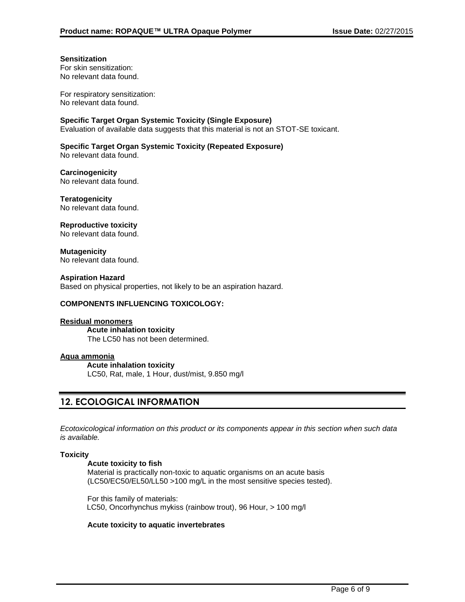#### **Sensitization**

For skin sensitization: No relevant data found.

For respiratory sensitization: No relevant data found.

**Specific Target Organ Systemic Toxicity (Single Exposure)**

Evaluation of available data suggests that this material is not an STOT-SE toxicant.

#### **Specific Target Organ Systemic Toxicity (Repeated Exposure)**

No relevant data found.

**Carcinogenicity** No relevant data found.

**Teratogenicity** No relevant data found.

### **Reproductive toxicity**

No relevant data found.

**Mutagenicity** No relevant data found.

#### **Aspiration Hazard**

Based on physical properties, not likely to be an aspiration hazard.

#### **COMPONENTS INFLUENCING TOXICOLOGY:**

#### **Residual monomers**

**Acute inhalation toxicity** The LC50 has not been determined.

#### **Aqua ammonia**

**Acute inhalation toxicity** LC50, Rat, male, 1 Hour, dust/mist, 9.850 mg/l

# **12. ECOLOGICAL INFORMATION**

*Ecotoxicological information on this product or its components appear in this section when such data is available.*

#### **Toxicity**

#### **Acute toxicity to fish**

Material is practically non-toxic to aquatic organisms on an acute basis (LC50/EC50/EL50/LL50 >100 mg/L in the most sensitive species tested).

For this family of materials: LC50, Oncorhynchus mykiss (rainbow trout), 96 Hour, > 100 mg/l

#### **Acute toxicity to aquatic invertebrates**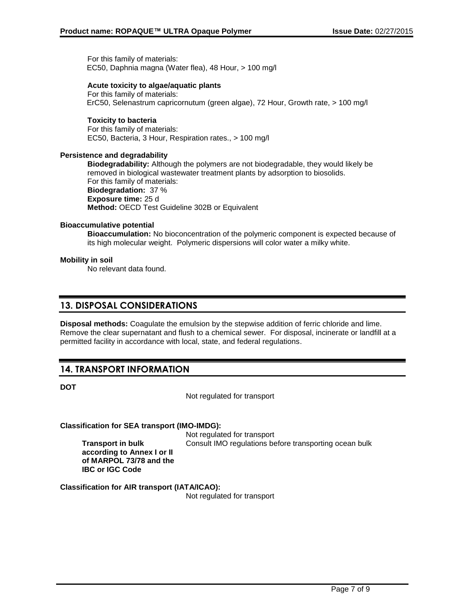For this family of materials: EC50, Daphnia magna (Water flea), 48 Hour, > 100 mg/l

#### **Acute toxicity to algae/aquatic plants**

For this family of materials: ErC50, Selenastrum capricornutum (green algae), 72 Hour, Growth rate, > 100 mg/l

#### **Toxicity to bacteria**

For this family of materials: EC50, Bacteria, 3 Hour, Respiration rates., > 100 mg/l

#### **Persistence and degradability**

**Biodegradability:** Although the polymers are not biodegradable, they would likely be removed in biological wastewater treatment plants by adsorption to biosolids. For this family of materials: **Biodegradation:** 37 % **Exposure time:** 25 d **Method:** OECD Test Guideline 302B or Equivalent

#### **Bioaccumulative potential**

**Bioaccumulation:** No bioconcentration of the polymeric component is expected because of its high molecular weight. Polymeric dispersions will color water a milky white.

#### **Mobility in soil**

No relevant data found.

### **13. DISPOSAL CONSIDERATIONS**

**Disposal methods:** Coagulate the emulsion by the stepwise addition of ferric chloride and lime. Remove the clear supernatant and flush to a chemical sewer. For disposal, incinerate or landfill at a permitted facility in accordance with local, state, and federal regulations.

# **14. TRANSPORT INFORMATION**

**DOT**

Not regulated for transport

**Classification for SEA transport (IMO-IMDG):**

**Transport in bulk according to Annex I or II of MARPOL 73/78 and the IBC or IGC Code**

Not regulated for transport Consult IMO regulations before transporting ocean bulk

**Classification for AIR transport (IATA/ICAO):**

Not regulated for transport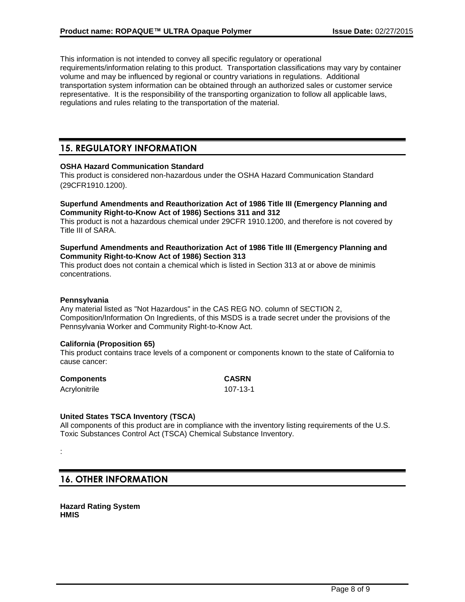This information is not intended to convey all specific regulatory or operational requirements/information relating to this product. Transportation classifications may vary by container volume and may be influenced by regional or country variations in regulations. Additional transportation system information can be obtained through an authorized sales or customer service representative. It is the responsibility of the transporting organization to follow all applicable laws, regulations and rules relating to the transportation of the material.

### **15. REGULATORY INFORMATION**

#### **OSHA Hazard Communication Standard**

This product is considered non-hazardous under the OSHA Hazard Communication Standard (29CFR1910.1200).

#### **Superfund Amendments and Reauthorization Act of 1986 Title III (Emergency Planning and Community Right-to-Know Act of 1986) Sections 311 and 312**

This product is not a hazardous chemical under 29CFR 1910.1200, and therefore is not covered by Title III of SARA.

#### **Superfund Amendments and Reauthorization Act of 1986 Title III (Emergency Planning and Community Right-to-Know Act of 1986) Section 313**

This product does not contain a chemical which is listed in Section 313 at or above de minimis concentrations.

#### **Pennsylvania**

Any material listed as "Not Hazardous" in the CAS REG NO. column of SECTION 2, Composition/Information On Ingredients, of this MSDS is a trade secret under the provisions of the Pennsylvania Worker and Community Right-to-Know Act.

#### **California (Proposition 65)**

This product contains trace levels of a component or components known to the state of California to cause cancer:

| <b>Components</b> | <b>CASRN</b> |
|-------------------|--------------|
| Acrylonitrile     | 107-13-1     |

#### **United States TSCA Inventory (TSCA)**

All components of this product are in compliance with the inventory listing requirements of the U.S. Toxic Substances Control Act (TSCA) Chemical Substance Inventory.

### **16. OTHER INFORMATION**

**Hazard Rating System HMIS**

<sup>:</sup>